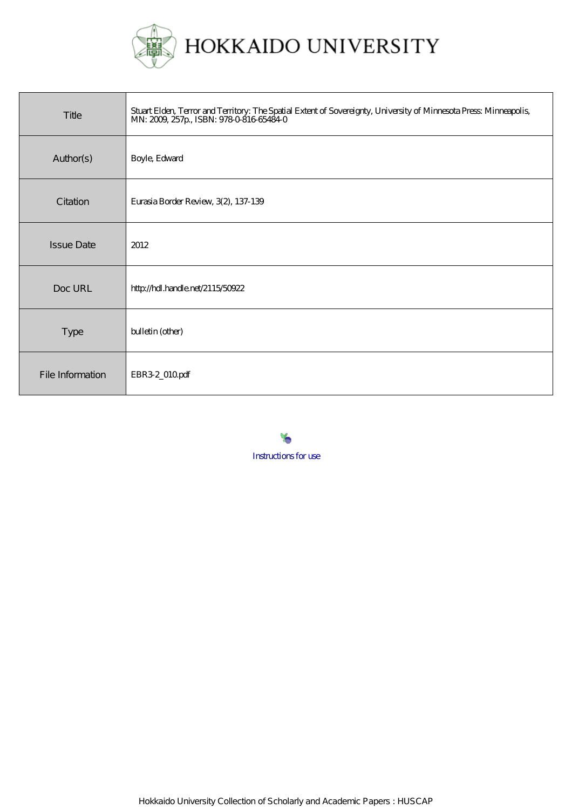

| Title             | Stuart Elden, Terror and Territory: The Spatial Extent of Sovereignty, University of Minnesota Press: Minneapolis,<br>MN: 2009, 257p., ISBN: 9780816654840 |
|-------------------|------------------------------------------------------------------------------------------------------------------------------------------------------------|
| Author(s)         | Boyle, Edward                                                                                                                                              |
| Citation          | Eurasia Border Review, 3(2), 137-139                                                                                                                       |
| <b>Issue Date</b> | 2012                                                                                                                                                       |
| Doc URL           | http://hdl.handle.net/2115/50922                                                                                                                           |
| Type              | bulletin (other)                                                                                                                                           |
| File Information  | EBR32_010pdf                                                                                                                                               |

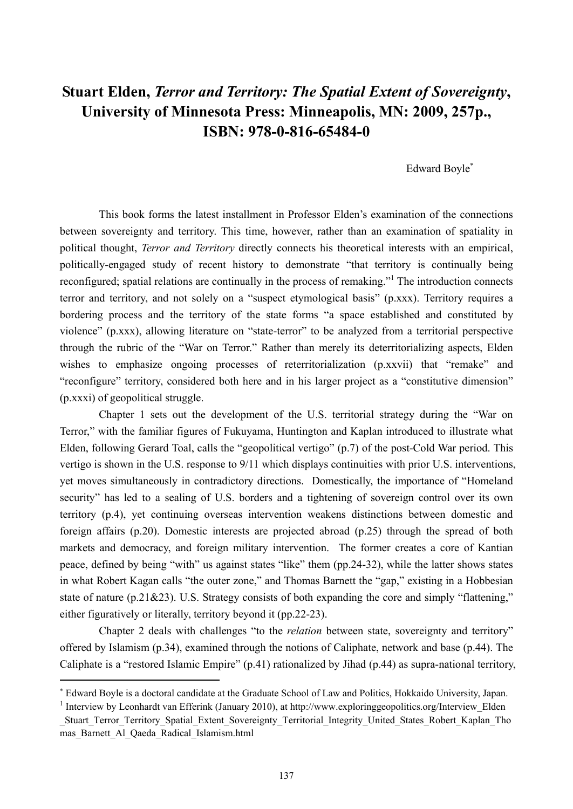## **Stuart Elden,** *Terror and Territory: The Spatial Extent of Sovereignty***, University of Minnesota Press: Minneapolis, MN: 2009, 257p., ISBN: 978-0-816-65484-0**

Edward Boyle

This book forms the latest installment in Professor Elden's examination of the connections between sovereignty and territory. This time, however, rather than an examination of spatiality in political thought, *Terror and Territory* directly connects his theoretical interests with an empirical, politically-engaged study of recent history to demonstrate "that territory is continually being reconfigured; spatial relations are continually in the process of remaking."<sup>1</sup> The introduction connects terror and territory, and not solely on a "suspect etymological basis" (p.xxx). Territory requires a bordering process and the territory of the state forms "a space established and constituted by violence" (p.xxx), allowing literature on "state-terror" to be analyzed from a territorial perspective through the rubric of the "War on Terror." Rather than merely its deterritorializing aspects, Elden wishes to emphasize ongoing processes of reterritorialization (p.xxvii) that "remake" and "reconfigure" territory, considered both here and in his larger project as a "constitutive dimension" (p.xxxi) of geopolitical struggle.

Chapter 1 sets out the development of the U.S. territorial strategy during the "War on Terror," with the familiar figures of Fukuyama, Huntington and Kaplan introduced to illustrate what Elden, following Gerard Toal, calls the "geopolitical vertigo" (p.7) of the post-Cold War period. This vertigo is shown in the U.S. response to 9/11 which displays continuities with prior U.S. interventions, yet moves simultaneously in contradictory directions. Domestically, the importance of "Homeland security" has led to a sealing of U.S. borders and a tightening of sovereign control over its own territory (p.4), yet continuing overseas intervention weakens distinctions between domestic and foreign affairs (p.20). Domestic interests are projected abroad (p.25) through the spread of both markets and democracy, and foreign military intervention. The former creates a core of Kantian peace, defined by being "with" us against states "like" them (pp.24-32), while the latter shows states in what Robert Kagan calls "the outer zone," and Thomas Barnett the "gap," existing in a Hobbesian state of nature (p.21&23). U.S. Strategy consists of both expanding the core and simply "flattening," either figuratively or literally, territory beyond it (pp.22-23).

Chapter 2 deals with challenges "to the *relation* between state, sovereignty and territory" offered by Islamism (p.34), examined through the notions of Caliphate, network and base (p.44). The Caliphate is a "restored Islamic Empire" (p.41) rationalized by Jihad (p.44) as supra-national territory,

Edward Boyle is a doctoral candidate at the Graduate School of Law and Politics, Hokkaido University, Japan.

<sup>&</sup>lt;sup>1</sup> Interview by Leonhardt van Efferink (January 2010), at http://www.exploringgeopolitics.org/Interview Elden

Stuart Terror Territory Spatial Extent Sovereignty Territorial Integrity United States Robert Kaplan Tho mas\_Barnett\_Al\_Qaeda\_Radical\_Islamism.html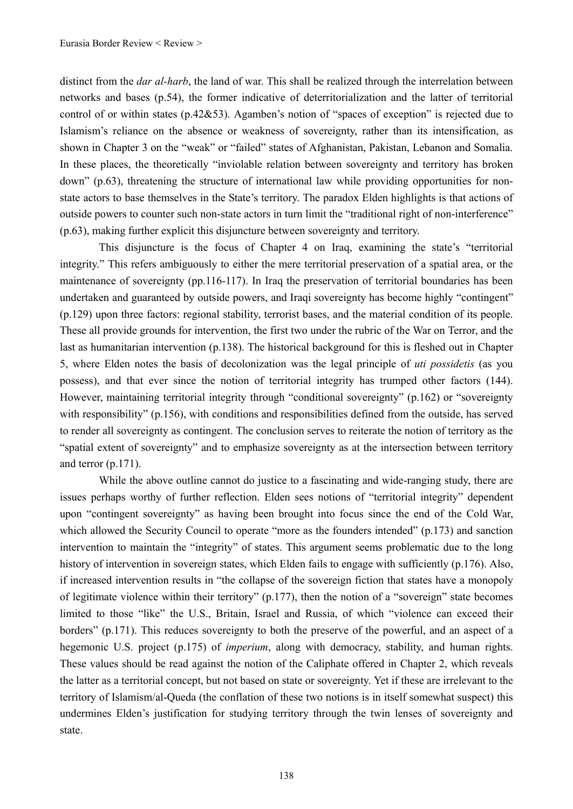distinct from the *dar al-harb*, the land of war. This shall be realized through the interrelation between networks and bases (p.54), the former indicative of deterritorialization and the latter of territorial control of or within states (p.42&53). Agamben's notion of "spaces of exception" is rejected due to Islamism's reliance on the absence or weakness of sovereignty, rather than its intensification, as shown in Chapter 3 on the "weak" or "failed" states of Afghanistan, Pakistan, Lebanon and Somalia. In these places, the theoretically "inviolable relation between sovereignty and territory has broken down" (p.63), threatening the structure of international law while providing opportunities for nonstate actors to base themselves in the State's territory. The paradox Elden highlights is that actions of outside powers to counter such non-state actors in turn limit the "traditional right of non-interference" (p.63), making further explicit this disjuncture between sovereignty and territory.

This disjuncture is the focus of Chapter 4 on Iraq, examining the state's "territorial integrity." This refers ambiguously to either the mere territorial preservation of a spatial area, or the maintenance of sovereignty (pp.116-117). In Iraq the preservation of territorial boundaries has been undertaken and guaranteed by outside powers, and Iraqi sovereignty has become highly "contingent" (p.129) upon three factors: regional stability, terrorist bases, and the material condition of its people. These all provide grounds for intervention, the first two under the rubric of the War on Terror, and the last as humanitarian intervention (p.138). The historical background for this is fleshed out in Chapter 5, where Elden notes the basis of decolonization was the legal principle of *uti possidetis* (as you possess), and that ever since the notion of territorial integrity has trumped other factors (144). However, maintaining territorial integrity through "conditional sovereignty" (p.162) or "sovereignty with responsibility" (p.156), with conditions and responsibilities defined from the outside, has served to render all sovereignty as contingent. The conclusion serves to reiterate the notion of territory as the "spatial extent of sovereignty" and to emphasize sovereignty as at the intersection between territory and terror (p.171).

While the above outline cannot do justice to a fascinating and wide-ranging study, there are issues perhaps worthy of further reflection. Elden sees notions of "territorial integrity" dependent upon "contingent sovereignty" as having been brought into focus since the end of the Cold War, which allowed the Security Council to operate "more as the founders intended" (p.173) and sanction intervention to maintain the "integrity" of states. This argument seems problematic due to the long history of intervention in sovereign states, which Elden fails to engage with sufficiently (p.176). Also, if increased intervention results in "the collapse of the sovereign fiction that states have a monopoly of legitimate violence within their territory" (p.177), then the notion of a "sovereign" state becomes limited to those "like" the U.S., Britain, Israel and Russia, of which "violence can exceed their borders" (p.171). This reduces sovereignty to both the preserve of the powerful, and an aspect of a hegemonic U.S. project (p.175) of *imperium*, along with democracy, stability, and human rights. These values should be read against the notion of the Caliphate offered in Chapter 2, which reveals the latter as a territorial concept, but not based on state or sovereignty. Yet if these are irrelevant to the territory of Islamism/al-Queda (the conflation of these two notions is in itself somewhat suspect) this undermines Elden's justification for studying territory through the twin lenses of sovereignty and state.